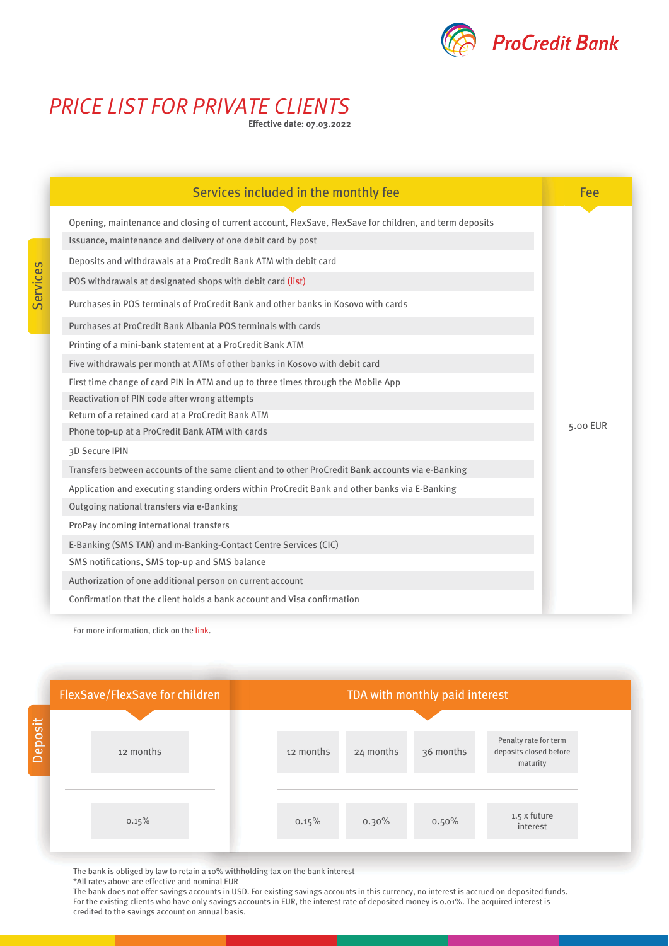

## *PRICE LIST FOR PRIVATE CLIENTS*

**Effective date: 07.03.2022**

| Services included in the monthly fee                                                                                                                                                              | Fee      |
|---------------------------------------------------------------------------------------------------------------------------------------------------------------------------------------------------|----------|
| Opening, maintenance and closing of current account, FlexSave, FlexSave for children, and term deposits<br>Issuance, maintenance and delivery of one debit card by post                           |          |
| Deposits and withdrawals at a ProCredit Bank ATM with debit card                                                                                                                                  |          |
| POS withdrawals at designated shops with debit card (list)<br>Purchases in POS terminals of ProCredit Bank and other banks in Kosovo with cards                                                   |          |
| Purchases at ProCredit Bank Albania POS terminals with cards                                                                                                                                      |          |
| Printing of a mini-bank statement at a ProCredit Bank ATM<br>Five withdrawals per month at ATMs of other banks in Kosovo with debit card                                                          |          |
| First time change of card PIN in ATM and up to three times through the Mobile App<br>Reactivation of PIN code after wrong attempts                                                                |          |
| Return of a retained card at a ProCredit Bank ATM<br>Phone top-up at a ProCredit Bank ATM with cards                                                                                              | 5.00 EUR |
| 3D Secure IPIN                                                                                                                                                                                    |          |
| Transfers between accounts of the same client and to other ProCredit Bank accounts via e-Banking<br>Application and executing standing orders within ProCredit Bank and other banks via E-Banking |          |
| Outgoing national transfers via e-Banking<br>ProPay incoming international transfers                                                                                                              |          |
| E-Banking (SMS TAN) and m-Banking-Contact Centre Services (CIC)                                                                                                                                   |          |
| SMS notifications, SMS top-up and SMS balance<br>Authorization of one additional person on current account                                                                                        |          |
| Confirmation that the client holds a bank account and Visa confirmation                                                                                                                           |          |

For more information, click on the [link.](https://www.procreditbank-kos.com/Uploads/Data/Files/41/otherservices16.10.2018_aw3LFqBrVq.pdf)



The bank is obliged by law to retain a 10% withholding tax on the bank interest

\*All rates above are effective and nominal EUR

The bank does not offer savings accounts in USD. For existing savings accounts in this currency, no interest is accrued on deposited funds. For the existing clients who have only savings accounts in EUR, the interest rate of deposited money is 0.01%. The acquired interest is credited to the savings account on annual basis.